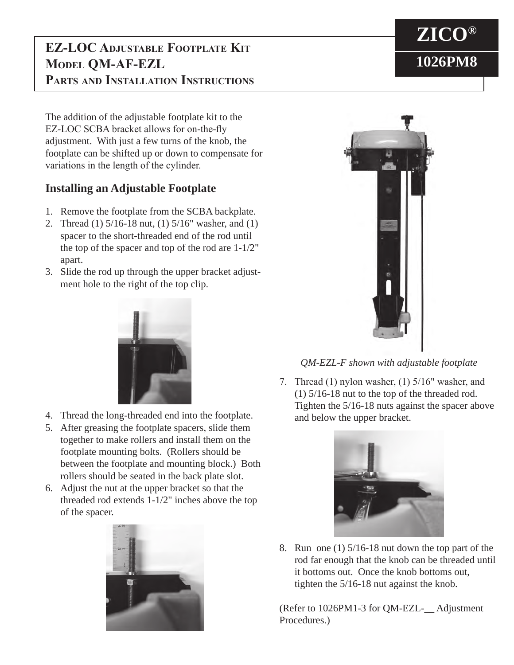## **EZ-LOC Adjustable Footplate Kit Model QM-AF-EZL Parts and Installation Instructions**

The addition of the adjustable footplate kit to the EZ-LOC SCBA bracket allows for on-the-fly adjustment. With just a few turns of the knob, the footplate can be shifted up or down to compensate for variations in the length of the cylinder.

## **Installing an Adjustable Footplate**

- 1. Remove the footplate from the SCBA backplate.
- 2. Thread (1) 5/16-18 nut, (1) 5/16" washer, and (1) spacer to the short-threaded end of the rod until the top of the spacer and top of the rod are 1-1/2" apart.
- 3. Slide the rod up through the upper bracket adjustment hole to the right of the top clip.



- 4. Thread the long-threaded end into the footplate.
- 5. After greasing the footplate spacers, slide them together to make rollers and install them on the footplate mounting bolts. (Rollers should be between the footplate and mounting block.) Both rollers should be seated in the back plate slot.
- 6. Adjust the nut at the upper bracket so that the threaded rod extends 1-1/2" inches above the top of the spacer.





*QM-EZL-F shown with adjustable footplate*

7. Thread (1) nylon washer, (1) 5/16" washer, and (1) 5/16-18 nut to the top of the threaded rod. Tighten the 5/16-18 nuts against the spacer above and below the upper bracket.



8. Run one (1) 5/16-18 nut down the top part of the rod far enough that the knob can be threaded until it bottoms out. Once the knob bottoms out, tighten the 5/16-18 nut against the knob.

(Refer to 1026PM1-3 for QM-EZL-\_\_ Adjustment Procedures.)

## **ZICO® 1026PM8**